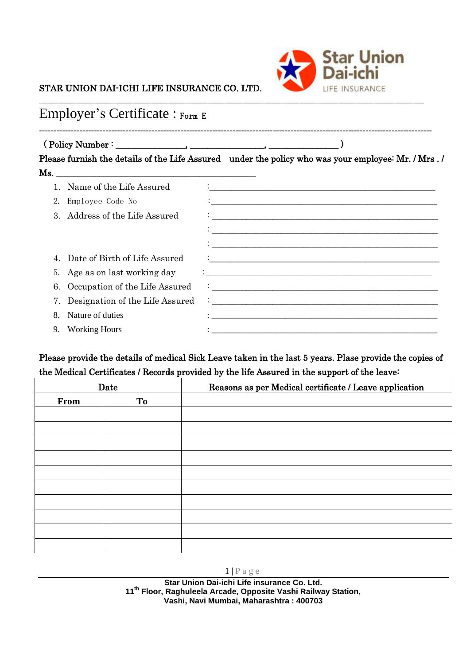

### STAR UNION DAI-ICHI LIFE INSURANCE CO. LTD.

# Employer's Certificate : Form E

## ( Policy Number : \_\_\_\_\_\_\_\_\_\_\_\_\_\_\_\_, \_\_\_\_\_\_\_\_\_\_\_\_\_\_\_\_\_, \_\_\_\_\_\_\_\_\_\_\_\_\_\_\_\_ )

Please furnish the details of the Life Assured under the policy who was your employee: Mr. / Mrs . / Ms. \_\_\_\_\_\_\_\_\_\_\_\_\_\_\_\_\_\_\_\_\_\_\_\_\_\_\_\_\_\_\_\_\_\_\_\_\_\_\_\_\_\_\_\_\_\_

**----------------------------------------------------------------------------------------------------------------------------------------**

|    | Name of the Life Assured          |                                                                                                                                                                                                                                      |
|----|-----------------------------------|--------------------------------------------------------------------------------------------------------------------------------------------------------------------------------------------------------------------------------------|
|    | Employee Code No                  |                                                                                                                                                                                                                                      |
|    | 3. Address of the Life Assured    |                                                                                                                                                                                                                                      |
|    |                                   |                                                                                                                                                                                                                                      |
|    |                                   |                                                                                                                                                                                                                                      |
|    | Date of Birth of Life Assured     | <u> : a construction de la construction de la construction de la construction de la construction de la construction de la construction de la construction de la construction de la construction de la construction de la constru</u> |
|    | 5. Age as on last working day     |                                                                                                                                                                                                                                      |
|    | 6. Occupation of the Life Assured |                                                                                                                                                                                                                                      |
|    |                                   | $\sum_{n=1}^{\infty}$ Designation of the Life Assured $\frac{1}{\infty}$ .                                                                                                                                                           |
|    | Nature of duties                  |                                                                                                                                                                                                                                      |
| 9. | <b>Working Hours</b>              |                                                                                                                                                                                                                                      |

### Please provide the details of medical Sick Leave taken in the last 5 years. Plase provide the copies of the Medical Certificates / Records provided by the life Assured in the support of the leave:

| Date |    | Reasons as per Medical certificate / Leave application |
|------|----|--------------------------------------------------------|
| From | To |                                                        |
|      |    |                                                        |
|      |    |                                                        |
|      |    |                                                        |
|      |    |                                                        |
|      |    |                                                        |
|      |    |                                                        |
|      |    |                                                        |
|      |    |                                                        |
|      |    |                                                        |
|      |    |                                                        |

1 | P a g e

**Star Union Dai-ichi Life insurance Co. Ltd. 11th Floor, Raghuleela Arcade, Opposite Vashi Railway Station, Vashi, Navi Mumbai, Maharashtra : 400703**